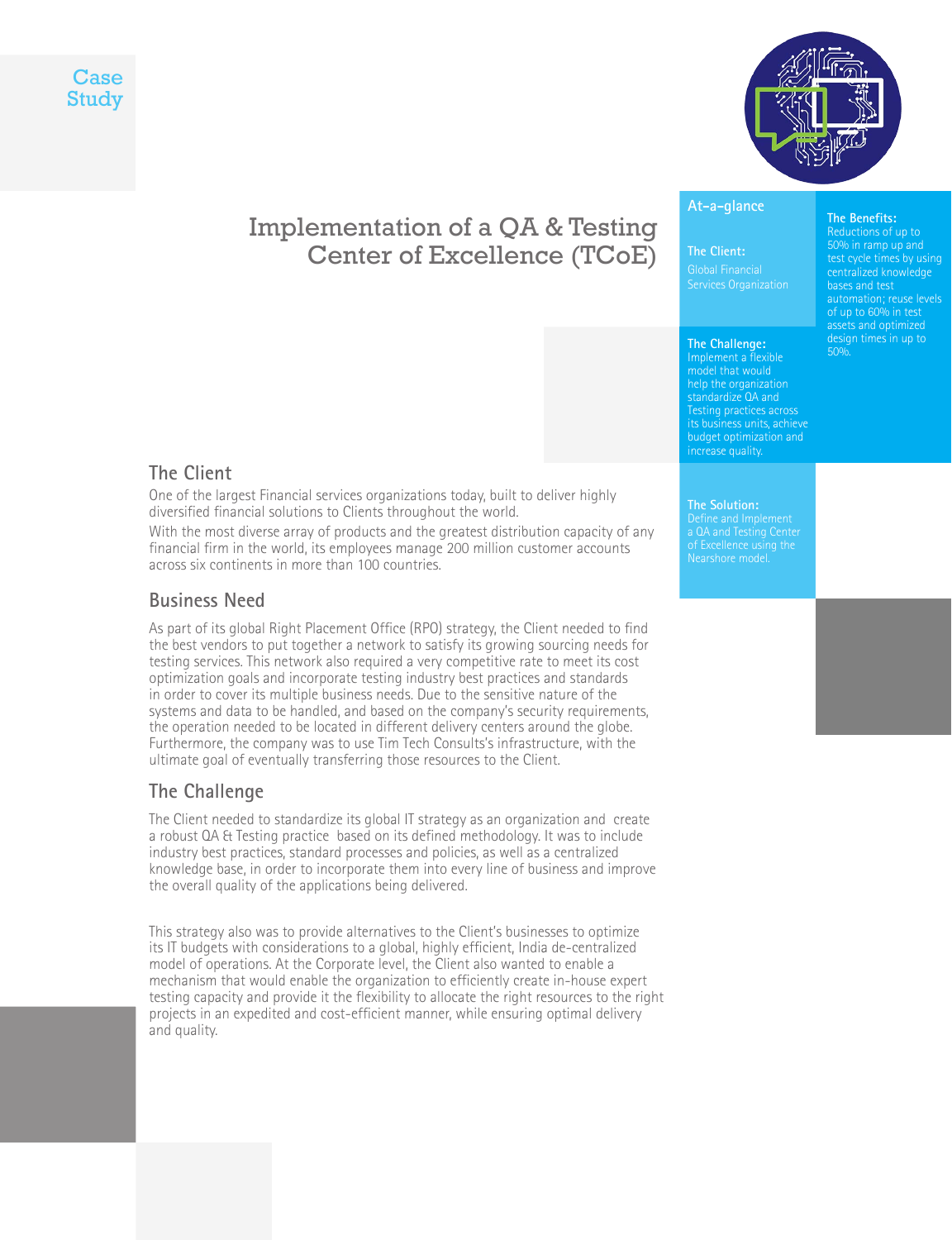



# Implementation of a QA & Testing Center of Excellence (TCoE)

### **At-a-glance**

#### **The Client:**

Global Financial Services Organization

#### **The Challenge:**

Implement a flexible model that would help the organization standardize QA and **Testing practices across** budget optimization and

### **The Client**

One of the largest Financial services organizations today, built to deliver highly diversified financial solutions to Clients throughout the world.

With the most diverse array of products and the greatest distribution capacity of any financial firm in the world, its employees manage 200 million customer accounts across six continents in more than 100 countries.

### **Business Need**

As part of its global Right Placement Office (RPO) strategy, the Client needed to find the best vendors to put together a network to satisfy its growing sourcing needs for testing services. This network also required a very competitive rate to meet its cost optimization goals and incorporate testing industry best practices and standards in order to cover its multiple business needs. Due to the sensitive nature of the systems and data to be handled, and based on the company's security requirements, the operation needed to be located in different delivery centers around the globe. Furthermore, the company was to use Tim Tech Consults's infrastructure, with the ultimate goal of eventually transferring those resources to the Client.

#### **The Challenge**

The Client needed to standardize its global IT strategy as an organization and create a robust QA & Testing practice based on its defined methodology. It was to include industry best practices, standard processes and policies, as well as a centralized knowledge base, in order to incorporate them into every line of business and improve the overall quality of the applications being delivered.

This strategy also was to provide alternatives to the Client's businesses to optimize its IT budgets with considerations to a global, highly efficient, India de-centralized model of operations. At the Corporate level, the Client also wanted to enable a mechanism that would enable the organization to efficiently create in-house expert testing capacity and provide it the flexibility to allocate the right resources to the right projects in an expedited and cost-efficient manner, while ensuring optimal delivery and quality.

# **The Solution:** Nearshore model.

#### test cycle times by using centralized knowledge

**The Benefits:** Reductions of up to

bases and test automation; reuse levels of up to 60% in test design times in up to 50%.